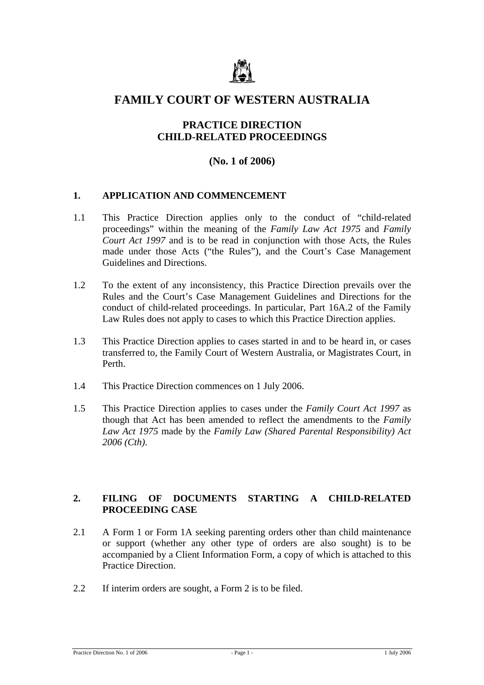

# **FAMILY COURT OF WESTERN AUSTRALIA**

## **PRACTICE DIRECTION CHILD-RELATED PROCEEDINGS**

# **(No. 1 of 2006)**

#### **1. APPLICATION AND COMMENCEMENT**

- 1.1 This Practice Direction applies only to the conduct of "child-related proceedings" within the meaning of the *Family Law Act 1975* and *Family Court Act 1997* and is to be read in conjunction with those Acts, the Rules made under those Acts ("the Rules"), and the Court's Case Management Guidelines and Directions.
- 1.2 To the extent of any inconsistency, this Practice Direction prevails over the Rules and the Court's Case Management Guidelines and Directions for the conduct of child-related proceedings. In particular, Part 16A.2 of the Family Law Rules does not apply to cases to which this Practice Direction applies.
- 1.3 This Practice Direction applies to cases started in and to be heard in, or cases transferred to, the Family Court of Western Australia, or Magistrates Court, in Perth.
- 1.4 This Practice Direction commences on 1 July 2006.
- 1.5 This Practice Direction applies to cases under the *Family Court Act 1997* as though that Act has been amended to reflect the amendments to the *Family Law Act 1975* made by the *Family Law (Shared Parental Responsibility) Act 2006 (Cth)*.

#### **2. FILING OF DOCUMENTS STARTING A CHILD-RELATED PROCEEDING CASE**

- 2.1 A Form 1 or Form 1A seeking parenting orders other than child maintenance or support (whether any other type of orders are also sought) is to be accompanied by a Client Information Form, a copy of which is attached to this Practice Direction.
- 2.2 If interim orders are sought, a Form 2 is to be filed.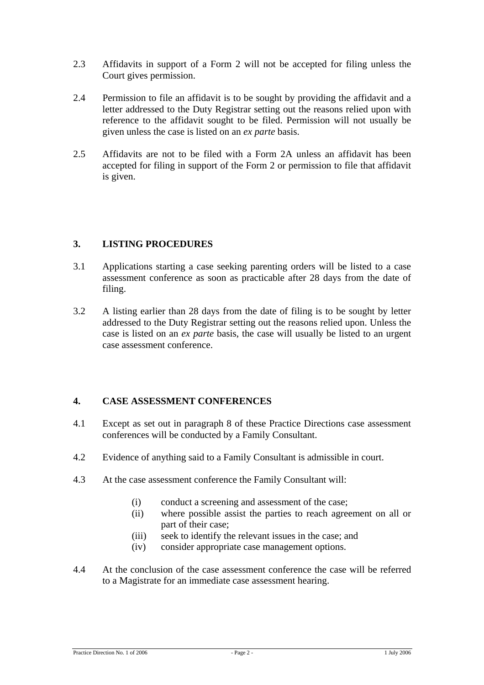- 2.3 Affidavits in support of a Form 2 will not be accepted for filing unless the Court gives permission.
- 2.4 Permission to file an affidavit is to be sought by providing the affidavit and a letter addressed to the Duty Registrar setting out the reasons relied upon with reference to the affidavit sought to be filed. Permission will not usually be given unless the case is listed on an *ex parte* basis.
- 2.5 Affidavits are not to be filed with a Form 2A unless an affidavit has been accepted for filing in support of the Form 2 or permission to file that affidavit is given.

#### **3. LISTING PROCEDURES**

- 3.1 Applications starting a case seeking parenting orders will be listed to a case assessment conference as soon as practicable after 28 days from the date of filing.
- 3.2 A listing earlier than 28 days from the date of filing is to be sought by letter addressed to the Duty Registrar setting out the reasons relied upon. Unless the case is listed on an *ex parte* basis, the case will usually be listed to an urgent case assessment conference.

#### **4. CASE ASSESSMENT CONFERENCES**

- 4.1 Except as set out in paragraph 8 of these Practice Directions case assessment conferences will be conducted by a Family Consultant.
- 4.2 Evidence of anything said to a Family Consultant is admissible in court.
- 4.3 At the case assessment conference the Family Consultant will:
	- (i) conduct a screening and assessment of the case;
	- (ii) where possible assist the parties to reach agreement on all or part of their case;
	- (iii) seek to identify the relevant issues in the case; and
	- (iv) consider appropriate case management options.
- 4.4 At the conclusion of the case assessment conference the case will be referred to a Magistrate for an immediate case assessment hearing.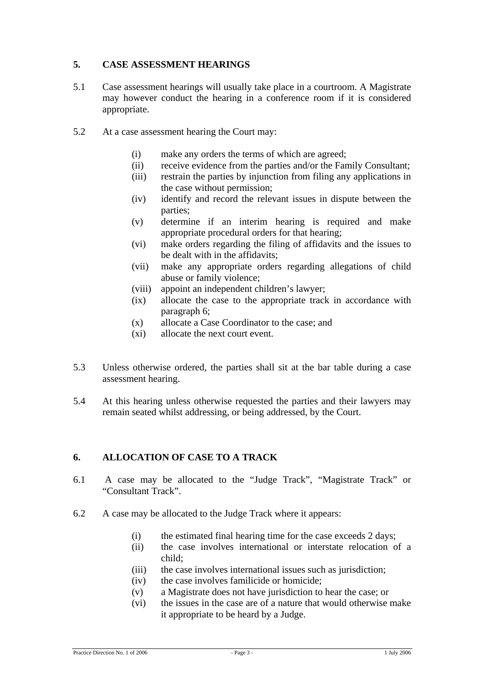#### **5. CASE ASSESSMENT HEARINGS**

- 5.1 Case assessment hearings will usually take place in a courtroom. A Magistrate may however conduct the hearing in a conference room if it is considered appropriate.
- 5.2 At a case assessment hearing the Court may:
	- (i) make any orders the terms of which are agreed;
	- (ii) receive evidence from the parties and/or the Family Consultant;
	- (iii) restrain the parties by injunction from filing any applications in the case without permission;
	- (iv) identify and record the relevant issues in dispute between the parties;
	- (v) determine if an interim hearing is required and make appropriate procedural orders for that hearing;
	- (vi) make orders regarding the filing of affidavits and the issues to be dealt with in the affidavits;
	- (vii) make any appropriate orders regarding allegations of child abuse or family violence;
	- (viii) appoint an independent children's lawyer;
	- (ix) allocate the case to the appropriate track in accordance with paragraph 6;
	- (x) allocate a Case Coordinator to the case; and
	- (xi) allocate the next court event.
- 5.3 Unless otherwise ordered, the parties shall sit at the bar table during a case assessment hearing.
- 5.4 At this hearing unless otherwise requested the parties and their lawyers may remain seated whilst addressing, or being addressed, by the Court.

#### **6. ALLOCATION OF CASE TO A TRACK**

- 6.1 A case may be allocated to the "Judge Track", "Magistrate Track" or "Consultant Track".
- 6.2 A case may be allocated to the Judge Track where it appears:
	- (i) the estimated final hearing time for the case exceeds 2 days;
	- (ii) the case involves international or interstate relocation of a child;
	- (iii) the case involves international issues such as jurisdiction;
	- (iv) the case involves familicide or homicide;
	- (v) a Magistrate does not have jurisdiction to hear the case; or
	- (vi) the issues in the case are of a nature that would otherwise make it appropriate to be heard by a Judge.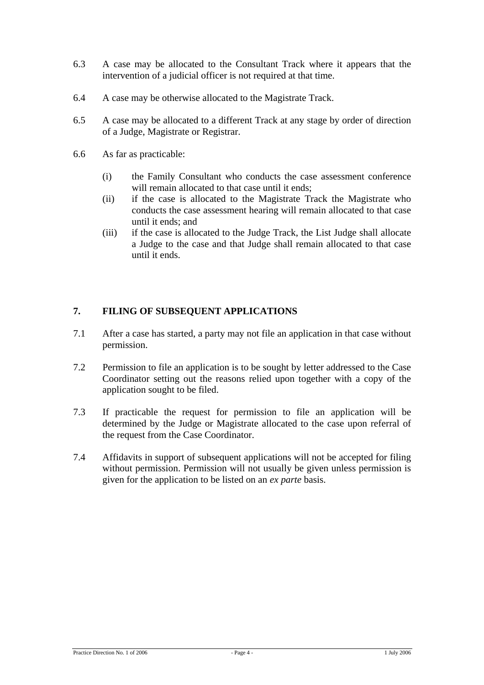- 6.3 A case may be allocated to the Consultant Track where it appears that the intervention of a judicial officer is not required at that time.
- 6.4 A case may be otherwise allocated to the Magistrate Track.
- 6.5 A case may be allocated to a different Track at any stage by order of direction of a Judge, Magistrate or Registrar.
- 6.6 As far as practicable:
	- (i) the Family Consultant who conducts the case assessment conference will remain allocated to that case until it ends:
	- (ii) if the case is allocated to the Magistrate Track the Magistrate who conducts the case assessment hearing will remain allocated to that case until it ends; and
	- (iii) if the case is allocated to the Judge Track, the List Judge shall allocate a Judge to the case and that Judge shall remain allocated to that case until it ends.

### **7. FILING OF SUBSEQUENT APPLICATIONS**

- 7.1 After a case has started, a party may not file an application in that case without permission.
- 7.2 Permission to file an application is to be sought by letter addressed to the Case Coordinator setting out the reasons relied upon together with a copy of the application sought to be filed.
- 7.3 If practicable the request for permission to file an application will be determined by the Judge or Magistrate allocated to the case upon referral of the request from the Case Coordinator.
- 7.4 Affidavits in support of subsequent applications will not be accepted for filing without permission. Permission will not usually be given unless permission is given for the application to be listed on an *ex parte* basis.